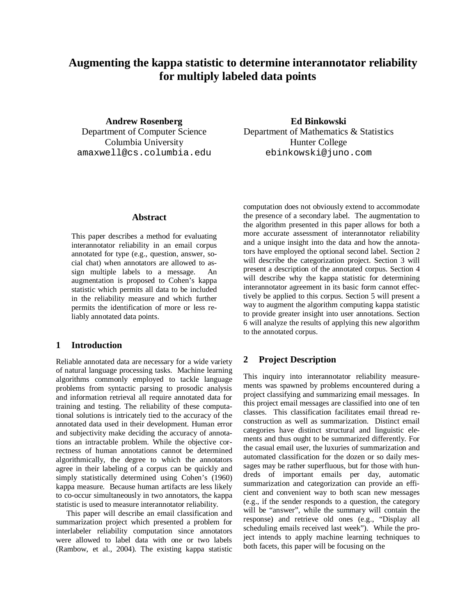# **Augmenting the kappa statistic to determine interannotator reliability for multiply labeled data points**

**Andrew Rosenberg** Department of Computer Science Columbia University [amaxwell@cs.columbia.edu](mailto:amaxwell@cs.columbia.edu)

### **Abstract**

This paper describes a method for evaluating interannotator reliability in an email corpus annotated for type (e.g., question, answer, social chat) when annotators are allowed to assign multiple labels to a message. An augmentation is proposed to Cohen's kappa statistic which permits all data to be included in the reliability measure and which further permits the identification of more or less reliably annotated data points.

# **1 Introduction**

Reliable annotated data are necessary for a wide variety of natural language processing tasks. Machine learning algorithms commonly employed to tackle language problems from syntactic parsing to prosodic analysis and information retrieval all require annotated data for training and testing. The reliability of these computational solutions is intricately tied to the accuracy of the annotated data used in their development. Human error and subjectivity make deciding the accuracy of annotations an intractable problem. While the objective correctness of human annotations cannot be determined algorithmically, the degree to which the annotators agree in their labeling of a corpus can be quickly and simply statistically determined using Cohen's (1960) kappa measure. Because human artifacts are less likely to co-occur simultaneously in two annotators, the kappa statistic is used to measure interannotator reliability.

This paper will describe an email classification and summarization project which presented a problem for interlabeler reliability computation since annotators were allowed to label data with one or two labels (Rambow, et al., 2004). The existing kappa statistic

**Ed Binkowski** Department of Mathematics & Statistics Hunter College [ebinkowski@juno.com](mailto:ebinkowski@juno.com)

computation does not obviously extend to accommodate the presence of a secondary label. The augmentation to the algorithm presented in this paper allows for both a more accurate assessment of interannotator reliability and a unique insight into the data and how the annotators have employed the optional second label. Section 2 will describe the categorization project. Section 3 will present a description of the annotated corpus. Section 4 will describe why the kappa statistic for determining interannotator agreement in its basic form cannot effectively be applied to this corpus. Section 5 will present a way to augment the algorithm computing kappa statistic to provide greater insight into user annotations. Section 6 will analyze the results of applying this new algorithm to the annotated corpus.

# **2 Project Description**

This inquiry into interannotator reliability measurements was spawned by problems encountered during a project classifying and summarizing email messages. In this project email messages are classified into one of ten classes. This classification facilitates email thread reconstruction as well as summarization. Distinct email categories have distinct structural and linguistic elements and thus ought to be summarized differently. For the casual email user, the luxuries of summarization and automated classification for the dozen or so daily messages may be rather superfluous, but for those with hundreds of important emails per day, automatic summarization and categorization can provide an efficient and convenient way to both scan new messages (e.g., if the sender responds to a question, the category will be "answer", while the summary will contain the response) and retrieve old ones (e.g., "Display all scheduling emails received last week"). While the project intends to apply machine learning techniques to both facets, this paper will be focusing on the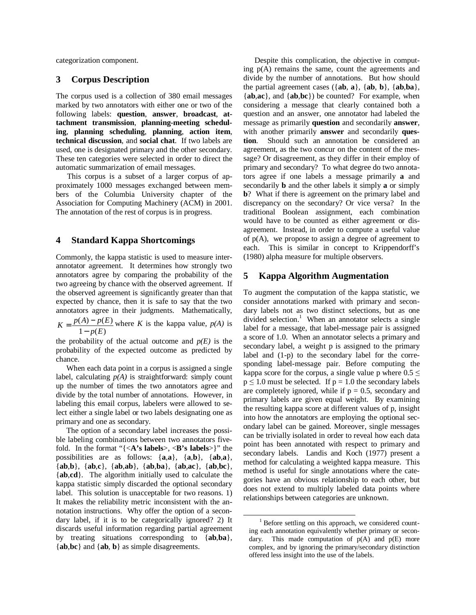categorization component.

### **3 Corpus Description**

The corpus used is a collection of 380 email messages marked by two annotators with either one or two of the following labels: **question**, **answer**, **broadcast**, **attachment transmission**, **planning-meeting scheduling**, **planning scheduling**, **planning**, **action item**, **technical discussion**, and **social chat**. If two labels are used, one is designated primary and the other secondary. These ten categories were selected in order to direct the automatic summarization of email messages.

This corpus is a subset of a larger corpus of approximately 1000 messages exchanged between members of the Columbia University chapter of the Association for Computing Machinery (ACM) in 2001. The annotation of the rest of corpus is in progress.

#### **4 Standard Kappa Shortcomings**

Commonly, the kappa statistic is used to measure interannotator agreement. It determines how strongly two annotators agree by comparing the probability of the two agreeing by chance with the observed agreement. If the observed agreement is significantly greater than that expected by chance, then it is safe to say that the two annotators agree in their judgments. Mathematically,  $1 - p(E)$  $(A) - p(E)$ *p E*  $K = \frac{p(A) - p(E)}{p(A)}$ −  $=\frac{p(A)-p(E)}{p(A)}$  where *K* is the kappa value,  $p(A)$  is

the probability of the actual outcome and  $p(E)$  is the probability of the expected outcome as predicted by chance.

When each data point in a corpus is assigned a single label, calculating  $p(A)$  is straightforward: simply count up the number of times the two annotators agree and divide by the total number of annotations. However, in labeling this email corpus, labelers were allowed to select either a single label or two labels designating one as primary and one as secondary.

The option of a secondary label increases the possible labeling combinations between two annotators fivefold. In the format "{<**A's labels**>, <**B's labels**>}" the possibilities are as follows: {**a**,**a**}, {**a**,**b**}, {**ab**,**a**}, {**ab**,**b**}, {**ab**,**c**}, {**ab**,**ab**}, {**ab**,**ba**}, {**ab**,**ac**}, {**ab**,**bc**}, {**ab**,**cd**}. The algorithm initially used to calculate the kappa statistic simply discarded the optional secondary label. This solution is unacceptable for two reasons. 1) It makes the reliability metric inconsistent with the annotation instructions. Why offer the option of a secondary label, if it is to be categorically ignored? 2) It discards useful information regarding partial agreement by treating situations corresponding to {**ab**,**ba**}, {**ab**,**bc**} and {**ab**, **b**} as simple disagreements.

Despite this complication, the objective in computing p(A) remains the same, count the agreements and divide by the number of annotations. But how should the partial agreement cases ({**ab**, **a**}, {**ab**, **b**}, {**ab**,**ba**}, {**ab**,**ac**}, and {**ab**,**bc**}) be counted? For example, when considering a message that clearly contained both a question and an answer, one annotator had labeled the message as primarily **question** and secondarily **answer**, with another primarily **answer** and secondarily **question**. Should such an annotation be considered an agreement, as the two concur on the content of the message? Or disagreement, as they differ in their employ of primary and secondary? To what degree do two annotators agree if one labels a message primarily **a** and secondarily **b** and the other labels it simply **a** or simply **b**? What if there is agreement on the primary label and discrepancy on the secondary? Or vice versa? In the traditional Boolean assignment, each combination would have to be counted as either agreement or disagreement. Instead, in order to compute a useful value of  $p(A)$ , we propose to assign a degree of agreement to each. This is similar in concept to Krippendorff's (1980) alpha measure for multiple observers.

### **5 Kappa Algorithm Augmentation**

To augment the computation of the kappa statistic, we consider annotations marked with primary and secondary labels not as two distinct selections, but as one divided selection.<sup>1</sup> When an annotator selects a single label for a message, that label-message pair is assigned a score of 1.0. When an annotator selects a primary and secondary label, a weight p is assigned to the primary label and (1-p) to the secondary label for the corresponding label-message pair. Before computing the kappa score for the corpus, a single value p where  $0.5 \leq$  $p \le 1.0$  must be selected. If  $p = 1.0$  the secondary labels are completely ignored, while if  $p = 0.5$ , secondary and primary labels are given equal weight. By examining the resulting kappa score at different values of p, insight into how the annotators are employing the optional secondary label can be gained. Moreover, single messages can be trivially isolated in order to reveal how each data point has been annotated with respect to primary and secondary labels. Landis and Koch (1977) present a method for calculating a weighted kappa measure. This method is useful for single annotations where the categories have an obvious relationship to each other, but does not extend to multiply labeled data points where relationships between categories are unknown.

<sup>&</sup>lt;sup>1</sup> Before settling on this approach, we considered counting each annotation equivalently whether primary or secondary. This made computation of  $p(A)$  and  $p(E)$  more complex, and by ignoring the primary/secondary distinction offered less insight into the use of the labels.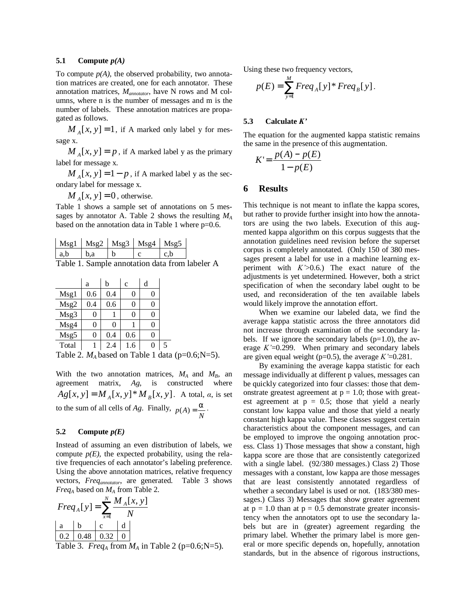#### **5.1 Compute** *p(A)*

To compute  $p(A)$ , the observed probability, two annotation matrices are created, one for each annotator. These annotation matrices, *Mannotator*, have N rows and M columns, where n is the number of messages and m is the number of labels. These annotation matrices are propagated as follows.

 $M_A[x, y] = 1$ , if A marked only label y for message x.

 $M_A[x, y] = p$ , if A marked label y as the primary label for message x.

 $M_A[x, y] = 1 - p$ , if A marked label y as the secondary label for message x.

 $M_A[x, y] = 0$ , otherwise.

Table 1 shows a sample set of annotations on 5 messages by annotator A. Table 2 shows the resulting *M<sup>A</sup>* based on the annotation data in Table 1 where p=0.6.

| $Msg1$   $Msg2$   $Msg3$   $Msg4$   $Msg5$ |  |  |
|--------------------------------------------|--|--|
| hя                                         |  |  |

Table 1. Sample annotation data from labeler A

|       | a   | b   | $\mathbf{C}$ | d |  |
|-------|-----|-----|--------------|---|--|
| Msg1  | 0.6 | 0.4 | 0            |   |  |
| Msg2  | 0.4 | 0.6 | 0            |   |  |
| Msg3  | 0   |     | 0            |   |  |
| Msg4  | 0   |     |              |   |  |
| Msg5  | 0   | 0.4 | 0.6          |   |  |
| Total |     | 2.4 | 1.6          |   |  |

Table 2.  $M_A$  based on Table 1 data (p=0.6;N=5).

With the two annotation matrices,  $M_A$  and  $M_B$ , an agreement matrix, *Ag*, is constructed where  $Ag[x, y] = M_A[x, y]^* M_B[x, y]$ . A total, *a*, is set to the sum of all cells of *Ag*. Finally,  $p(A) = \frac{\alpha}{N}$ .

#### **5.2 Compute** *p(E)*

Instead of assuming an even distribution of labels, we compute  $p(E)$ , the expected probability, using the relative frequencies of each annotator's labeling preference. Using the above annotation matrices, relative frequency vectors, *Freqannotator*, are generated. Table 3 shows *Freq<sup>A</sup>* based on *MA* from Table 2.

$$
Freq_A[y] = \sum_{x=1}^{N} \frac{M_A[x, y]}{N}
$$
  
a  
0.2 \quad 0.48 \quad 0.32 \quad 0

Table 3. *Freq<sub>A</sub>* from  $M_A$  in Table 2 (p=0.6;N=5).

Using these two frequency vectors,

$$
p(E) = \sum_{y=1}^{M} Freq_{A}[y] * Freq_{B}[y].
$$

#### $5.3$  **Calculate**  $K'$

The equation for the augmented kappa statistic remains the same in the presence of this augmentation.

$$
K' = \frac{p(A) - p(E)}{1 - p(E)}
$$

### **6 Results**

This technique is not meant to inflate the kappa scores, but rather to provide further insight into how the annotators are using the two labels. Execution of this augmented kappa algorithm on this corpus suggests that the annotation guidelines need revision before the superset corpus is completely annotated. (Only 150 of 380 messages present a label for use in a machine learning experiment with  $K$ '>0.6.) The exact nature of the adjustments is yet undetermined. However, both a strict specification of when the secondary label ought to be used, and reconsideration of the ten available labels would likely improve the annotation effort.

When we examine our labeled data, we find the average kappa statistic across the three annotators did not increase through examination of the secondary labels. If we ignore the secondary labels  $(p=1.0)$ , the average  $K'=0.299$ . When primary and secondary labels are given equal weight ( $p=0.5$ ), the average  $K'=0.281$ .

By examining the average kappa statistic for each message individually at different p values, messages can be quickly categorized into four classes: those that demonstrate greatest agreement at  $p = 1.0$ ; those with greatest agreement at  $p = 0.5$ ; those that yield a nearly constant low kappa value and those that yield a nearly constant high kappa value. These classes suggest certain characteristics about the component messages, and can be employed to improve the ongoing annotation process. Class 1) Those messages that show a constant, high kappa score are those that are consistently categorized with a single label. (92/380 messages.) Class 2) Those messages with a constant, low kappa are those messages that are least consistently annotated regardless of whether a secondary label is used or not. (183/380 messages.) Class 3) Messages that show greater agreement at  $p = 1.0$  than at  $p = 0.5$  demonstrate greater inconsistency when the annotators opt to use the secondary labels but are in (greater) agreement regarding the primary label. Whether the primary label is more general or more specific depends on, hopefully, annotation standards, but in the absence of rigorous instructions,